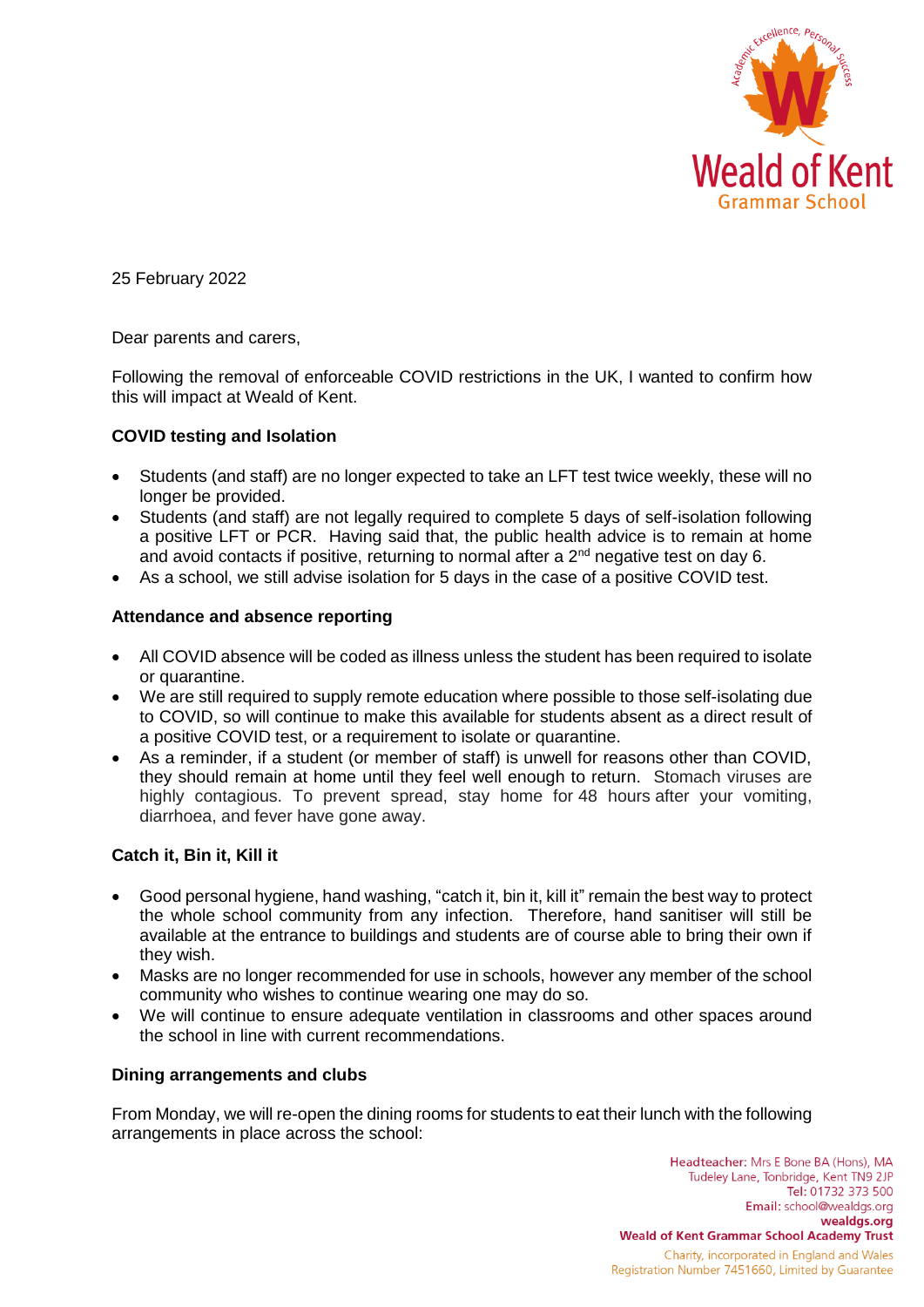

25 February 2022

Dear parents and carers,

Following the removal of enforceable COVID restrictions in the UK, I wanted to confirm how this will impact at Weald of Kent.

# **COVID testing and Isolation**

- Students (and staff) are no longer expected to take an LFT test twice weekly, these will no longer be provided.
- Students (and staff) are not legally required to complete 5 days of self-isolation following a positive LFT or PCR. Having said that, the public health advice is to remain at home and avoid contacts if positive, returning to normal after a  $2<sup>nd</sup>$  negative test on day 6.
- As a school, we still advise isolation for 5 days in the case of a positive COVID test.

## **Attendance and absence reporting**

- All COVID absence will be coded as illness unless the student has been required to isolate or quarantine.
- We are still required to supply remote education where possible to those self-isolating due to COVID, so will continue to make this available for students absent as a direct result of a positive COVID test, or a requirement to isolate or quarantine.
- As a reminder, if a student (or member of staff) is unwell for reasons other than COVID. they should remain at home until they feel well enough to return. Stomach viruses are highly contagious. To prevent spread, stay home for 48 hours after your vomiting, diarrhoea, and fever have gone away.

# **Catch it, Bin it, Kill it**

- Good personal hygiene, hand washing, "catch it, bin it, kill it" remain the best way to protect the whole school community from any infection. Therefore, hand sanitiser will still be available at the entrance to buildings and students are of course able to bring their own if they wish.
- Masks are no longer recommended for use in schools, however any member of the school community who wishes to continue wearing one may do so.
- We will continue to ensure adequate ventilation in classrooms and other spaces around the school in line with current recommendations.

### **Dining arrangements and clubs**

From Monday, we will re-open the dining rooms for students to eat their lunch with the following arrangements in place across the school:

> Headteacher: Mrs E Bone BA (Hons), MA Tudeley Lane, Tonbridge, Kent TN9 2JP Tel: 01732 373 500 Email: school@wealdgs.org wealdgs.org **Weald of Kent Grammar School Academy Trust** Charity, incorporated in England and Wales Registration Number 7451660, Limited by Guarantee